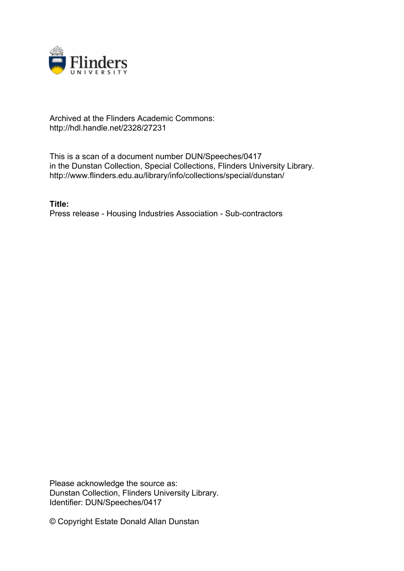

## Archived at the Flinders Academic Commons: http://hdl.handle.net/2328/27231

This is a scan of a document number DUN/Speeches/0417 in the Dunstan Collection, Special Collections, Flinders University Library. http://www.flinders.edu.au/library/info/collections/special/dunstan/

**Title:** Press release - Housing Industries Association - Sub-contractors

Please acknowledge the source as: Dunstan Collection, Flinders University Library. Identifier: DUN/Speeches/0417

© Copyright Estate Donald Allan Dunstan